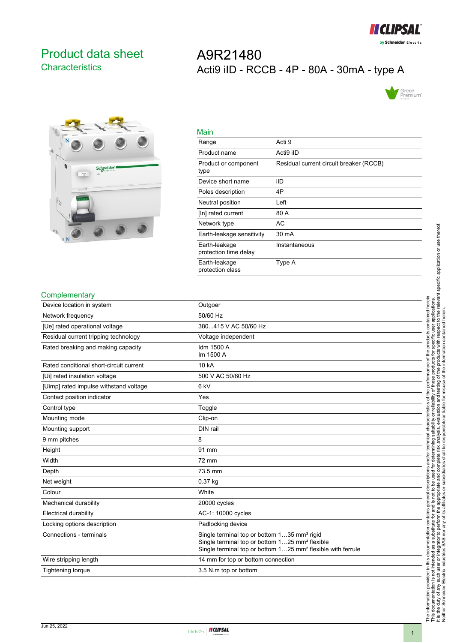

## <span id="page-0-0"></span>Product data sheet **Characteristics**

# A9R21480 Acti9 iID - RCCB - 4P - 80A - 30mA - type A





| Main                                   |                                         |
|----------------------------------------|-----------------------------------------|
| Range                                  | Acti 9                                  |
| Product name                           | Acti9 iID                               |
| Product or component<br>type           | Residual current circuit breaker (RCCB) |
| Device short name                      | ilD                                     |
| Poles description                      | 4P                                      |
| Neutral position                       | Left                                    |
| [In] rated current                     | 80 A                                    |
| Network type                           | AC                                      |
| Earth-leakage sensitivity              | 30 mA                                   |
| Earth-leakage<br>protection time delay | Instantaneous                           |
| Earth-leakage<br>protection class      | Type A                                  |

#### **Complementary**

| י יישוייטיייטישוייט                     |                                                                                                                                                                                                  |
|-----------------------------------------|--------------------------------------------------------------------------------------------------------------------------------------------------------------------------------------------------|
| Device location in system               | Outgoer                                                                                                                                                                                          |
| Network frequency                       | 50/60 Hz                                                                                                                                                                                         |
| [Ue] rated operational voltage          | 380415 V AC 50/60 Hz                                                                                                                                                                             |
| Residual current tripping technology    | Voltage independent                                                                                                                                                                              |
| Rated breaking and making capacity      | Idm 1500 A<br>Im 1500 A                                                                                                                                                                          |
| Rated conditional short-circuit current | 10 kA                                                                                                                                                                                            |
| [Ui] rated insulation voltage           | 500 V AC 50/60 Hz                                                                                                                                                                                |
| [Uimp] rated impulse withstand voltage  | 6 <sub>kV</sub>                                                                                                                                                                                  |
| Contact position indicator              | Yes                                                                                                                                                                                              |
| Control type                            | Toggle                                                                                                                                                                                           |
| Mounting mode                           | Clip-on                                                                                                                                                                                          |
| Mounting support                        | DIN rail                                                                                                                                                                                         |
| 9 mm pitches                            | 8                                                                                                                                                                                                |
| Height                                  | 91 mm                                                                                                                                                                                            |
| Width                                   | 72 mm                                                                                                                                                                                            |
| Depth                                   | 73.5 mm                                                                                                                                                                                          |
| Net weight                              | 0.37 kg                                                                                                                                                                                          |
| Colour                                  | White                                                                                                                                                                                            |
| Mechanical durability                   | 20000 cycles                                                                                                                                                                                     |
| <b>Electrical durability</b>            | AC-1: 10000 cycles                                                                                                                                                                               |
| Locking options description             | Padlocking device                                                                                                                                                                                |
| Connections - terminals                 | Single terminal top or bottom 135 mm <sup>2</sup> rigid<br>Single terminal top or bottom 125 mm <sup>2</sup> flexible<br>Single terminal top or bottom 125 mm <sup>2</sup> flexible with ferrule |
| Wire stripping length                   | 14 mm for top or bottom connection                                                                                                                                                               |
| Tightening torque                       | 3.5 N m top or bottom                                                                                                                                                                            |